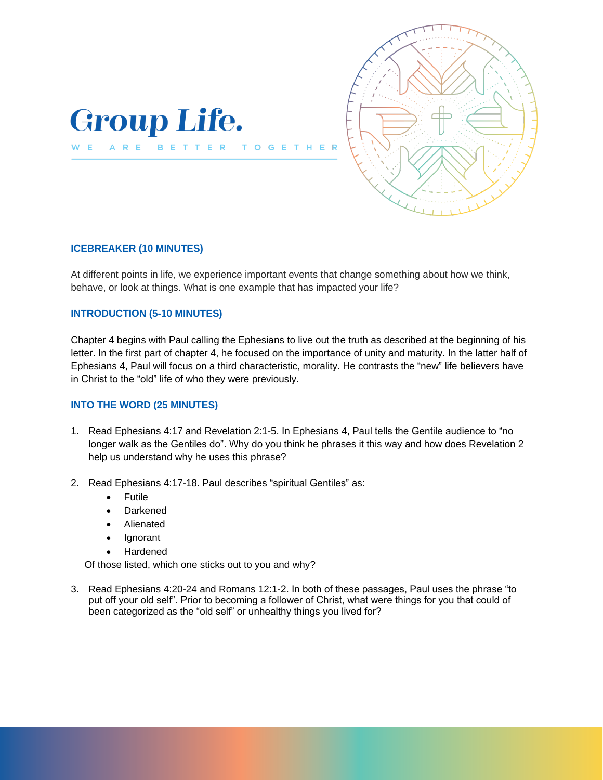

BETTER

T O  $\mathsf{G}$ 



### **ICEBREAKER (10 MINUTES)**

ARE

W E

At different points in life, we experience important events that change something about how we think, behave, or look at things. What is one example that has impacted your life?

#### **INTRODUCTION (5-10 MINUTES)**

Chapter 4 begins with Paul calling the Ephesians to live out the truth as described at the beginning of his letter. In the first part of chapter 4, he focused on the importance of unity and maturity. In the latter half of Ephesians 4, Paul will focus on a third characteristic, morality. He contrasts the "new" life believers have in Christ to the "old" life of who they were previously.

## **INTO THE WORD (25 MINUTES)**

- 1. Read Ephesians 4:17 and Revelation 2:1-5. In Ephesians 4, Paul tells the Gentile audience to "no longer walk as the Gentiles do". Why do you think he phrases it this way and how does Revelation 2 help us understand why he uses this phrase?
- 2. Read Ephesians 4:17-18. Paul describes "spiritual Gentiles" as:
	- Futile
	- Darkened
	- Alienated
	- **I**gnorant
	- Hardened

Of those listed, which one sticks out to you and why?

3. Read Ephesians 4:20-24 and Romans 12:1-2. In both of these passages, Paul uses the phrase "to put off your old self". Prior to becoming a follower of Christ, what were things for you that could of been categorized as the "old self" or unhealthy things you lived for?